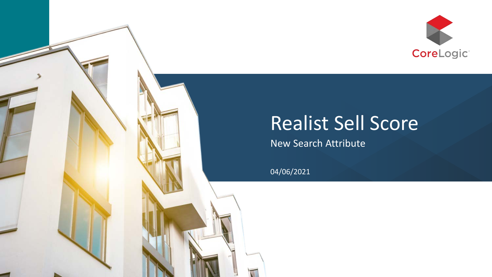

## Realist Sell Score

New Search Attribute

04/06/2021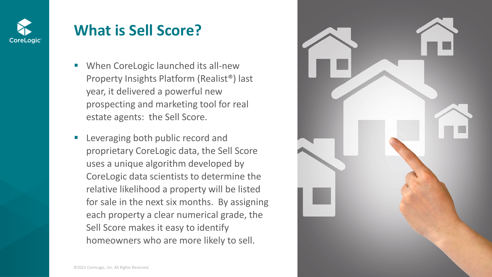

## **What is Sell Score?**

- **When CoreLogic launched its all-new** Property Insights Platform (Realist®) last year, it delivered a powerful new prospecting and marketing tool for real estate agents: the Sell Score.
- Leveraging both public record and proprietary CoreLogic data, the Sell Score uses a unique algorithm developed by CoreLogic data scientists to determine the relative likelihood a property will be listed for sale in the next six months. By assigning each property a clear numerical grade, the Sell Score makes it easy to identify homeowners who are more likely to sell.

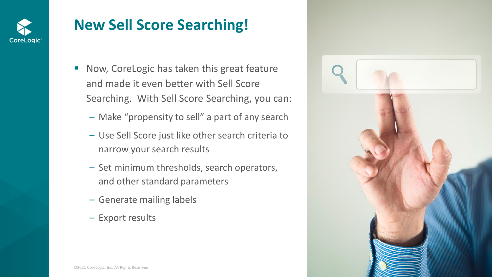

## **New Sell Score Searching!**

- Now, CoreLogic has taken this great feature and made it even better with Sell Score Searching. With Sell Score Searching, you can:
	- Make "propensity to sell" a part of any search
	- Use Sell Score just like other search criteria to narrow your search results
	- Set minimum thresholds, search operators, and other standard parameters
	- Generate mailing labels
	- Export results

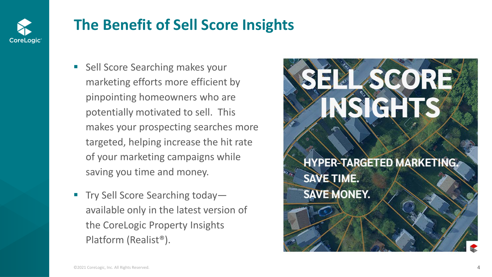

## **The Benefit of Sell Score Insights**

- Sell Score Searching makes your marketing efforts more efficient by pinpointing homeowners who are potentially motivated to sell. This makes your prospecting searches more targeted, helping increase the hit rate of your marketing campaigns while saving you time and money.
- Try Sell Score Searching today available only in the latest version of the CoreLogic Property Insights Platform (Realist®).